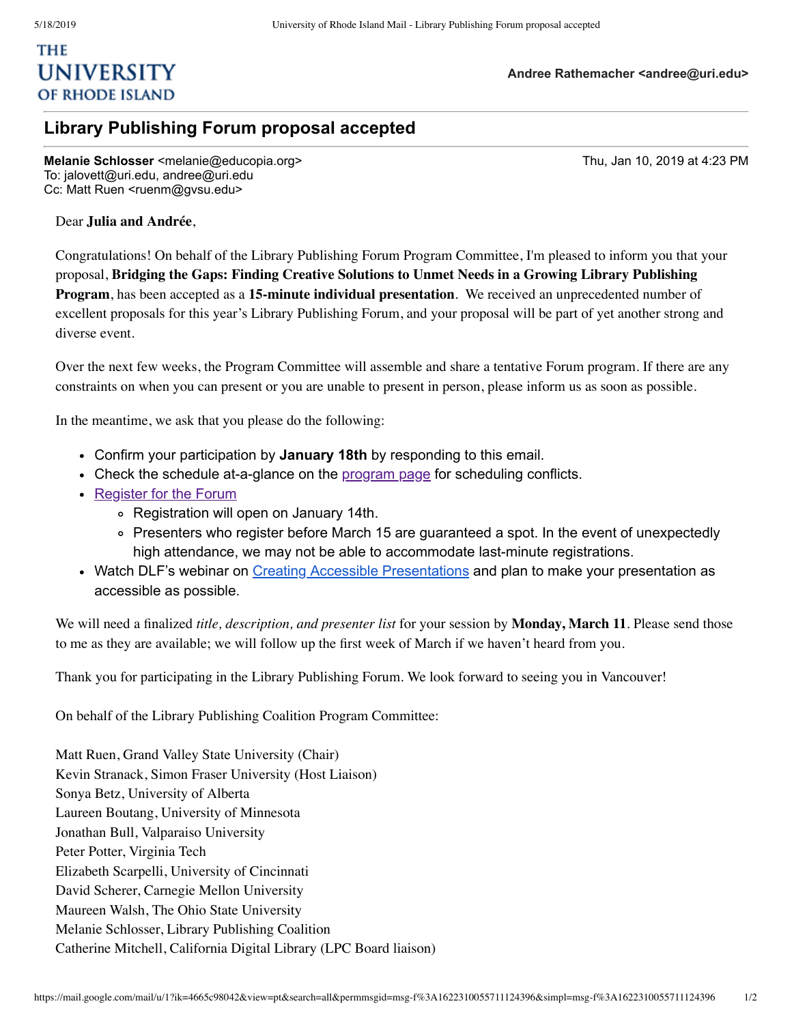## **THE UNIVERSITY** OF RHODE ISLAND

## **Library Publishing Forum proposal accepted**

**Melanie Schlosser** <melanie@educopia.org> Thu, Jan 10, 2019 at 4:23 PM To: jalovett@uri.edu, andree@uri.edu Cc: Matt Ruen <ruenm@gvsu.edu>

## Dear **Julia and Andrée**,

Congratulations! On behalf of the Library Publishing Forum Program Committee, I'm pleased to inform you that your proposal, **Bridging the Gaps: Finding Creative Solutions to Unmet Needs in a Growing Library Publishing Program**, has been accepted as a **15-minute individual presentation**. We received an unprecedented number of excellent proposals for this year's Library Publishing Forum, and your proposal will be part of yet another strong and diverse event.

Over the next few weeks, the Program Committee will assemble and share a tentative Forum program. If there are any constraints on when you can present or you are unable to present in person, please inform us as soon as possible.

In the meantime, we ask that you please do the following:

- Confirm your participation by **January 18th** by responding to this email.
- Check the schedule at-a-glance on the [program](https://librarypublishing.org/program/) page for scheduling conflicts.
- [Register](https://librarypublishing.org/registration-travel/) for the Forum
	- Registration will open on January 14th.
	- Presenters who register before March 15 are guaranteed a spot. In the event of unexpectedly high attendance, we may not be able to accommodate last-minute registrations.
- Watch DLF's webinar on Creating Accessible [Presentations](https://forum2017.diglib.org/presentations-webinar/) and plan to make your presentation as accessible as possible.

We will need a finalized *title, description, and presenter list* for your session by **Monday, March 11**. Please send those to me as they are available; we will follow up the first week of March if we haven't heard from you.

Thank you for participating in the Library Publishing Forum. We look forward to seeing you in Vancouver!

On behalf of the Library Publishing Coalition Program Committee:

Matt Ruen, Grand Valley State University (Chair) Kevin Stranack, Simon Fraser University (Host Liaison) Sonya Betz, University of Alberta Laureen Boutang, University of Minnesota Jonathan Bull, Valparaiso University Peter Potter, Virginia Tech Elizabeth Scarpelli, University of Cincinnati David Scherer, Carnegie Mellon University Maureen Walsh, The Ohio State University Melanie Schlosser, Library Publishing Coalition Catherine Mitchell, California Digital Library (LPC Board liaison)